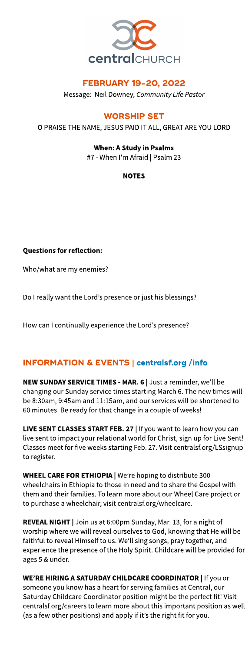

## **FEBRUARY 19-20, 2022**

Message: Neil Downey, **CommunityLifePastor**

# **WORSHIP SET**

```
OPRAISETHENAME, JESUSPAIDITALL, GREATAREYOULORD
```
# When: A Study in Psalms

#7 - When I'm Afraid | Psalm 23

## NOTES

Questions for reflection:

Who/what are my enemies?

Do I really want the Lord's presence or just his blessings?

How can I continually experience the Lord's presence?

# INFORMATION& EVENTS| **[centralsf.org/info](http://centralsf.org/info)**

NEW SUNDAY SERVICE TIMES - MAR. 6 | Just a reminder, we'll be changing our Sunday service times starting March 6. The new times will be 8:30am, 9:45am and 11:15am, and our serviceswill be shortened to 60 minutes. Be ready for that change in a couple of weeks!

LIVE SENT CLASSES START FEB. 27 | If you want to learn how you can live sent to impact your relational world for Christ, sign up for Live Sent! Classes meet for five weeks starting Feb. 27. Visit centralsf.org/LSsignup to register.

WHEEL CARE FOR ETHIOPIA | We're hoping to distribute 300 wheelchairs in Ethiopia to those in need and to share the Gospel with them and their families. To learn more about our Wheel Care project or to purchase a wheelchair, visit centralsf.org/wheelcare.

REVEAL NIGHT | Join us at 6:00pm Sunday, Mar. 13, for a night of worship where we will reveal ourselves to God, knowing that He will be faithful to reveal Himself to us. We?ll sing songs, pray together, and experience the presence of the Holy Spirit. Childcare will be provided for ages5&under.

WE'RE HIRING A SATURDAY CHILDCARE COORDINATOR | If you or someone you know has a heart for serving families at Central, our Saturday Childcare Coordinator position might be the perfect fit! Visit centralsf.org/careers to learn more about this important position as well (as a few other positions) and apply if it's the right fit for you.